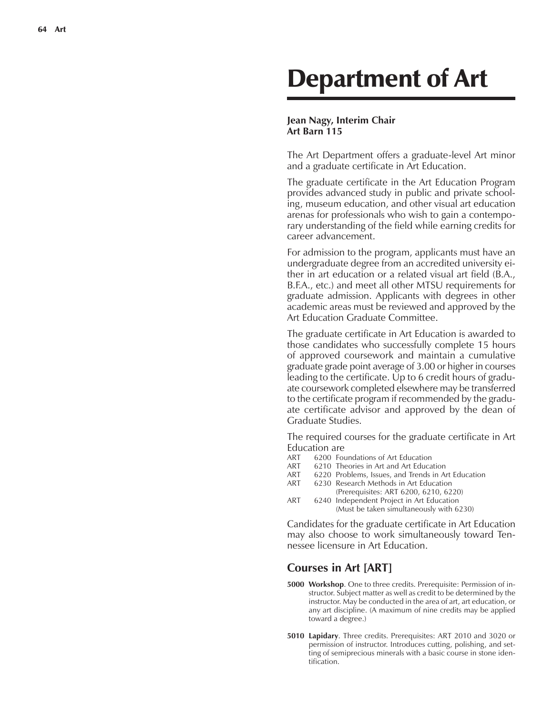## Department of Art

## **Jean Nagy, Interim Chair Art Barn 115**

The Art Department offers a graduate-level Art minor and a graduate certificate in Art Education.

The graduate certificate in the Art Education Program provides advanced study in public and private schooling, museum education, and other visual art education arenas for professionals who wish to gain a contemporary understanding of the field while earning credits for career advancement.

For admission to the program, applicants must have an undergraduate degree from an accredited university either in art education or a related visual art field (B.A., B.F.A., etc.) and meet all other MTSU requirements for graduate admission. Applicants with degrees in other academic areas must be reviewed and approved by the Art Education Graduate Committee.

The graduate certificate in Art Education is awarded to those candidates who successfully complete 15 hours of approved coursework and maintain a cumulative graduate grade point average of 3.00 or higher in courses leading to the certificate. Up to 6 credit hours of graduate coursework completed elsewhere may be transferred to the certificate program if recommended by the graduate certificate advisor and approved by the dean of Graduate Studies.

The required courses for the graduate certificate in Art Education are

- ART 6200 Foundations of Art Education
- ART 6210 Theories in Art and Art Education
- ART 6220 Problems, Issues, and Trends in Art Education
- ART 6230 Research Methods in Art Education
- (Prerequisites: ART 6200, 6210, 6220) ART 6240 Independent Project in Art Education (Must be taken simultaneously with 6230)

Candidates for the graduate certificate in Art Education may also choose to work simultaneously toward Tennessee licensure in Art Education.

## **Courses in Art [ART]**

- **5000 Workshop**. One to three credits. Prerequisite: Permission of instructor. Subject matter as well as credit to be determined by the instructor. May be conducted in the area of art, art education, or any art discipline. (A maximum of nine credits may be applied toward a degree.)
- **5010 Lapidary**. Three credits. Prerequisites: ART 2010 and 3020 or permission of instructor. Introduces cutting, polishing, and setting of semiprecious minerals with a basic course in stone identification.